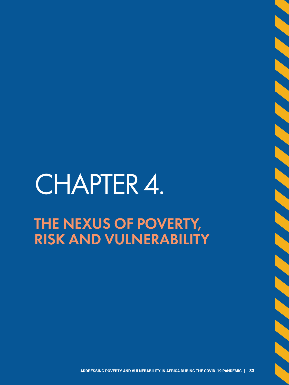# CHAPTER 4. THE NEXUS OF POVERTY, RISK AND VULNERABILITY

**SANDARY SANDARY SANDARY SANDARY SAND**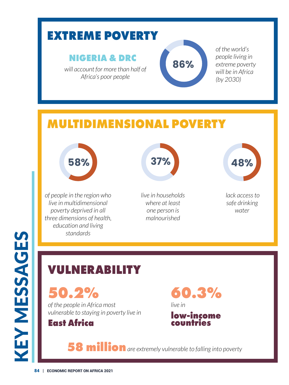## **EXTREME POVERTY**

### **NIGERIA & DRC**

*will account for more than half of Africa's poor people*



*of the world's people living in extreme poverty will be in Africa (by 2030)*

## **MULTIDIMENSIONAL POVERTY**



*of people in the region who live in multidimensional poverty deprived in all three dimensions of health, education and living standards*



*live in households where at least one person is malnourished*



 *lack access to safe drinking water*

## **VULNERABILITY**

**50.2%**

*of the people in Africa most vulnerable to staying in poverty live in* 



**60.3%** *live in* 

**low-income countries**

**58 million** *are extremely vulnerable to falling into poverty*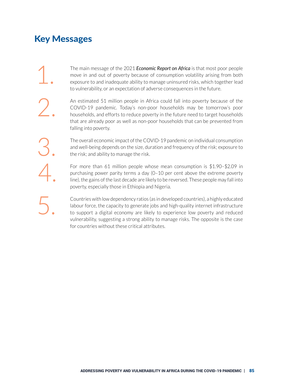## Key Messages

The main message of the 2021 *Economic Report on Africa* is that most poor people<br>
move in and out of poverty because of consumption volatility arising from both<br>
exposure to and inadequate ability to manage uninsured risk move in and out of poverty because of consumption volatility arising from both to vulnerability, or an expectation of adverse consequences in the future.

An estimated 51 million people in Africa could fall into poverty because of the COVID-19 pandemic. Today's non-poor households may be tomorrow's poor households, and efforts to reduce poverty in the future need to target h COVID-19 pandemic. Today's non-poor households may be tomorrow's poor that are already poor as well as non-poor households that can be prevented from falling into poverty.

The overall economic impact of the COVID-19 pandemic on individual consumption<br>and well-being depends on the size, duration and frequency of the risk; exposure to<br>the risk; and ability to manage the risk. and well-being depends on the size, duration and frequency of the risk; exposure to the risk; and ability to manage the risk.

For more than 61 million people whose mean consumption is \$1.90–\$2.09 in purchasing power parity terms a day (0–10 per cent above the extreme poverty line), the gains of the last decade are likely to be reversed. These peo purchasing power parity terms a day (0–10 per cent above the extreme poverty poverty, especially those in Ethiopia and Nigeria.

> 5. Countries with low dependency ratios (as in developed countries), a highly educated labour force, the capacity to generate jobs and high-quality internet infrastructure to support a digital economy are likely to experience low poverty and reduced vulnerability, suggesting a strong ability to manage risks. The opposite is the case for countries without these critical attributes.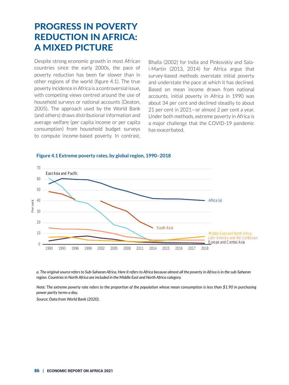## PROGRESS IN POVERTY REDUCTION IN AFRICA: A MIXED PICTURE

Despite strong economic growth in most African countries since the early 2000s, the pace of poverty reduction has been far slower than in other regions of the world (figure 4.1). The true poverty incidence in Africa is a controversial issue, with competing views centred around the use of household surveys or national accounts (Deaton, 2005). The approach used by the World Bank (and others) draws distributional information and average welfare (per capita income or per capita consumption) from household budget surveys to compute income-based poverty. In contrast,

Bhalla (2002) for India and Pinkovskiy and Salai-Martin (2013, 2014) for Africa argue that survey-based methods overstate initial poverty and understate the pace at which it has declined. Based on mean income drawn from national accounts, initial poverty in Africa in 1990 was about 34 per cent and declined steadily to about 21 per cent in 2021—or almost 2 per cent a year. Under both methods, extreme poverty in Africa is a major challenge that the COVID-19 pandemic has exacerbated.



#### **Figure 4.1 Extreme poverty rates, by global region, 1990–2018**

*a. The original source refers to Sub-Saharan Africa. Here it refers to Africa because almost all the poverty in Africa is in the sub-Saharan region. Countries in North Africa are included in the Middle East and North Africa category.* 

*Note: The extreme poverty rate refers to the proportion of the population whose mean consumption is less than \$1.90 in purchasing power parity terms a day.* 

*Source: Data from World Bank (2020).*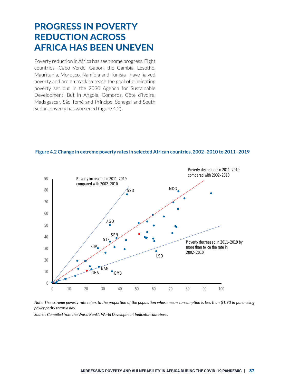## PROGRESS IN POVERTY REDUCTION ACROSS AFRICA HAS BEEN UNEVEN

Poverty reduction in Africa has seen some progress. Eight countries—Cabo Verde, Gabon, the Gambia, Lesotho, Mauritania, Morocco, Namibia and Tunisia—have halved poverty and are on track to reach the goal of eliminating poverty set out in the 2030 Agenda for Sustainable Development. But in Angola, Comoros, Côte d'Ivoire, Madagascar, São Tomé and Príncipe, Senegal and South Sudan, poverty has worsened (figure 4.2).



**Figure 4.2 Change in extreme poverty rates in selected African countries, 2002–2010 to 2011–2019**

2002 -2010 *Note: The extreme poverty rate refers to the proportion of the population whose mean consumption is less than \$1.90 in purchasing power parity terms a day.*

*Source: Compiled from the World Bank's World Development Indicators database.*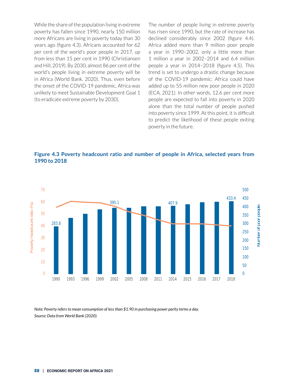While the share of the population living in extreme poverty has fallen since 1990, nearly 150 million more Africans are living in poverty today than 30 years ago (figure 4.3). Africans accounted for 62 per cent of the world's poor people in 2017, up from less than 15 per cent in 1990 (Christiansen and Hill, 2019). By 2030, almost 86 per cent of the world's people living in extreme poverty will be in Africa (World Bank, 2020). Thus, even before the onset of the COVID-19 pandemic, Africa was unlikely to meet Sustainable Development Goal 1 (to eradicate extreme poverty by 2030).

The number of people living in extreme poverty has risen since 1990, but the rate of increase has declined considerably since 2002 (figure 4.4). Africa added more than 9 million poor people a year in 1990–2002, only a little more than 1 million a year in 2002–2014 and 6.4 million people a year in 2014–2018 (figure 4.5). This trend is set to undergo a drastic change because of the COVID-19 pandemic: Africa could have added up to 55 million new poor people in 2020 (ECA, 2021). In other words, 12.6 per cent more people are expected to fall into poverty in 2020 alone than the total number of people pushed into poverty since 1999. At this point, it is difficult to predict the likelihood of these people exiting poverty in the future.





*Note: Poverty refers to mean consumption of less than \$1.90 in purchasing power parity terms a day. Source: Data from World Bank (2020).*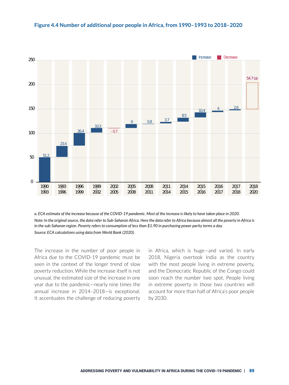



*a. ECA estimate of the increase because of the COVID-19 pandemic. Most of the increase is likely to have taken place in 2020. Note: In the original source, the data refer to Sub-Saharan Africa. Here the data refer to Africa because almost all the poverty in Africa is in the sub-Saharan region. Poverty refers to consumption of less than \$1.90 in purchasing power parity terms a day. Source: ECA calculations using data from World Bank (2020).*

The increase in the number of poor people in Africa due to the COVID-19 pandemic must be seen in the context of the longer trend of slow poverty reduction. While the increase itself is not unusual, the estimated size of the increase in one year due to the pandemic—nearly nine times the annual increase in 2014–2018—is exceptional. It accentuates the challenge of reducing poverty in Africa, which is huge—and varied. In early 2018, Nigeria overtook India as the country with the most people living in extreme poverty, and the Democratic Republic of the Congo could soon reach the number two spot. People living in extreme poverty in those two countries will account for more than half of Africa's poor people by 2030.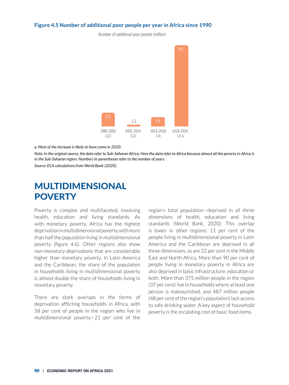#### **Figure 4.5 Number of additional poor people per year in Africa since 1990**

Number of additional poor people (million)



*a. Most of the increase is likely to have come in 2020.*

*Note: In the original source, the data refer to Sub-Saharan Africa. Here the data refer to Africa because almost all the poverty in Africa is in the Sub-Saharan region. Numbers in parentheses refer to the number of years.*

*Source: ECA calculations from World Bank (2020).*

### MULTIDIMENSIONAL **POVERTY**

Poverty is complex and multifaceted, involving health, education and living standards. As with monetary poverty, Africa has the highest deprivation in multidimensional poverty, with more than half the population living in multidimensional poverty (figure 4.6). Other regions also show non-monetary deprivations that are considerably higher than monetary poverty. In Latin America and the Caribbean, the share of the population in households living in multidimensional poverty is almost double the share of households living in monetary poverty.

There are stark overlaps in the forms of deprivation afflicting households in Africa, with 58 per cent of people in the region who live in multidimensional poverty—21 per cent of the

region's total population—deprived in all three dimensions of health, education and living standards (World Bank, 2020). This overlap is lower in other regions: 11 per cent of the people living in multidimensional poverty in Latin America and the Caribbean are deprived in all three dimensions, as are 22 per cent in the Middle East and North Africa. More than 90 per cent of people living in monetary poverty in Africa are also deprived in basic infrastructure, education or both. More than 375 million people in the region (37 per cent) live in households where at least one person is malnourished, and 487 million people (48 per cent of the region's population) lack access to safe drinking water. A key aspect of household poverty is the escalating cost of basic food items.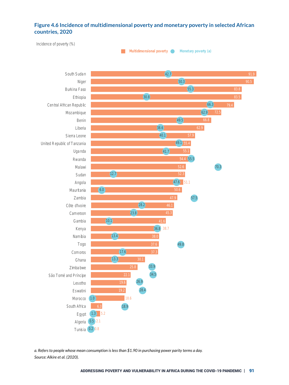#### **Figure 4.6 Incidence of multidimensional poverty and monetary poverty in selected African**  Figure 4.6 Incidence of multidimensional poverty and monetary poverty in selected African **countries, 2020** countries, 2020



*a. Refers to people whose mean consumption is less than \$1.90 in purchasing power parity terms a day. Source: Alkire et al. (2020).*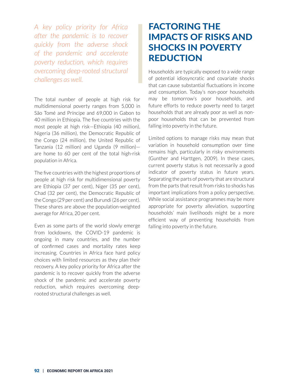*A key policy priority for Africa after the pandemic is to recover quickly from the adverse shock of the pandemic and accelerate poverty reduction, which requires overcoming deep-rooted structural challenges as well.*

The total number of people at high risk for multidimensional poverty ranges from 5,000 in São Tomé and Príncipe and 69,000 in Gabon to 40 million in Ethiopia. The five countries with the most people at high risk—Ethiopia (40 million), Nigeria (36 million), the Democratic Republic of the Congo (24 million), the United Republic of Tanzania (12 million) and Uganda (9 million) are home to 60 per cent of the total high-risk population in Africa.

The five countries with the highest proportions of people at high risk for multidimensional poverty are Ethiopia (37 per cent), Niger (35 per cent), Chad (32 per cent), the Democratic Republic of the Congo (29 per cent) and Burundi (26 per cent). These shares are above the population-weighted average for Africa, 20 per cent.

Even as some parts of the world slowly emerge from lockdowns, the COVID-19 pandemic is ongoing in many countries, and the number of confirmed cases and mortality rates keep increasing. Countries in Africa face hard policy choices with limited resources as they plan their recovery. A key policy priority for Africa after the pandemic is to recover quickly from the adverse shock of the pandemic and accelerate poverty reduction, which requires overcoming deeprooted structural challenges as well.

## FACTORING THE IMPACTS OF RISKS AND SHOCKS IN POVERTY REDUCTION

Households are typically exposed to a wide range of potential idiosyncratic and covariate shocks that can cause substantial fluctuations in income and consumption. Today's non-poor households may be tomorrow's poor households, and future efforts to reduce poverty need to target households that are already poor as well as nonpoor households that can be prevented from falling into poverty in the future.

Limited options to manage risks may mean that variation in household consumption over time remains high, particularly in risky environments (Gunther and Harttgen, 2009). In these cases, current poverty status is not necessarily a good indicator of poverty status in future years. Separating the parts of poverty that are structural from the parts that result from risks to shocks has important implications from a policy perspective. While social assistance programmes may be more appropriate for poverty alleviation, supporting households' main livelihoods might be a more efficient way of preventing households from falling into poverty in the future.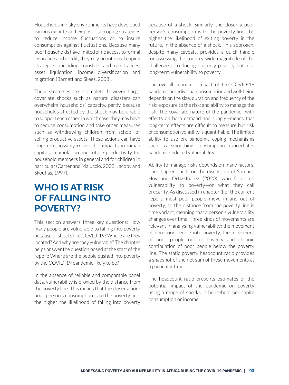Households in risky environments have developed various ex-ante and ex-post risk-coping strategies to reduce income fluctuations or to insure consumption against fluctuations. Because many poor households have limited or no access to formal insurance and credit, they rely on informal coping strategies, including transfers and remittances, asset liquidation, income diversification and migration (Barnett and Skees, 2008).

These strategies are incomplete, however. Large covariate shocks such as natural disasters can overwhelm households' capacity, partly because households affected by the shock may be unable to support each other, in which case, they may have to reduce consumption and take other measures such as withdrawing children from school or selling productive assets. These actions can have long-term, possibly irreversible, impacts on human capital accumulation and future productivity for household members in general and for children in particular (Carter and Maluccio, 2003; Jacoby and Skoufias, 1997).

## WHO IS AT RISK OF FALLING INTO POVERTY?

This section answers three key questions: How many people are vulnerable to falling into poverty because of shocks like COVID-19? Where are they located? And why are they vulnerable? The chapter helps answer the question posed at the start of the report: Where are the people pushed into poverty by the COVID-19 pandemic likely to be?

In the absence of reliable and comparable panel data, vulnerability is proxied by the distance from the poverty line. This means that the closer a nonpoor person's consumption is to the poverty line, the higher the likelihood of falling into poverty because of a shock. Similarly, the closer a poor person's consumption is to the poverty line, the higher the likelihood of exiting poverty in the future, in the absence of a shock. This approach, despite many caveats, provides a quick handle for assessing the country-wide magnitude of the challenge of reducing not only poverty but also long-term vulnerability to poverty.

The overall economic impact of the COVID-19 pandemic on individual consumption and well-being depends on the size, duration and frequency of the risk; exposure to the risk; and ability to manage the risk. The covariate nature of the pandemic—with effects on both demand and supply—means that long-term effects are difficult to measure but risk of consumption volatility is quantifiable. The limited ability to use pre-pandemic coping mechanisms such as smoothing consumption exacerbates pandemic-induced vulnerability.

Ability to manage risks depends on many factors. The chapter builds on the discussion of Sumner, Hoy and Ortiz-Juarez (2020), who focus on vulnerability to poverty—or what they call precarity. As discussed in chapter 1 of the current report, most poor people move in and out of poverty, so the distance from the poverty line is time variant, meaning that a person's vulnerability changes over time. Three kinds of movements are relevant in analysing vulnerability: the movement of non-poor people into poverty, the movement of poor people out of poverty and chronic continuation of poor people below the poverty line. The static poverty headcount ratio provides a snapshot of the net sum of these movements at a particular time.

The headcount ratio presents estimates of the potential impact of the pandemic on poverty using a range of shocks in household per capita consumption or income.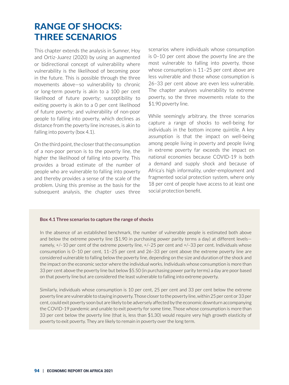## RANGE OF SHOCKS: THREE SCENARIOS

This chapter extends the analysis in Sumner, Hoy and Ortiz-Juarez (2020) by using an augmented or bidirectional concept of vulnerability where vulnerability is the likelihood of becoming poor in the future. This is possible through the three movements above—so vulnerability to chronic or long-term poverty is akin to a 100 per cent likelihood of future poverty; susceptibility to exiting poverty is akin to a 0 per cent likelihood of future poverty; and vulnerability of non-poor people to falling into poverty, which declines as distance from the poverty line increases, is akin to falling into poverty (box 4.1).

On the third point, the closer that the consumption of a non-poor person is to the poverty line, the higher the likelihood of falling into poverty. This provides a broad estimate of the number of people who are vulnerable to falling into poverty and thereby provides a sense of the scale of the problem. Using this premise as the basis for the subsequent analysis, the chapter uses three scenarios where individuals whose consumption is 0–10 per cent above the poverty line are the most vulnerable to falling into poverty, those whose consumption is 11–25 per cent above are less vulnerable and those whose consumption is 26–33 per cent above are even less vulnerable. The chapter analyses vulnerability to extreme poverty, so the three movements relate to the \$1.90 poverty line.

While seemingly arbitrary, the three scenarios capture a range of shocks to well-being for individuals in the bottom income quintile. A key assumption is that the impact on well-being among people living in poverty and people living in extreme poverty far exceeds the impact on national economies because COVID-19 is both a demand and supply shock and because of Africa's high informality, under-employment and fragmented social protection system, where only 18 per cent of people have access to at least one social protection benefit.

#### **Box 4.1 Three scenarios to capture the range of shocks**

In the absence of an established benchmark, the number of vulnerable people is estimated both above and below the extreme poverty line (\$1.90 in purchasing power parity terms a day) at different levels namely, +/–10 per cent of the extreme poverty line, +/–25 per cent and +/–33 per cent. Individuals whose consumption is 0–10 per cent, 11–25 per cent and 26–33 per cent above the extreme poverty line are considered vulnerable to falling below the poverty line, depending on the size and duration of the shock and the impact on the economic sector where the individual works. Individuals whose consumption is more than 33 per cent above the poverty line but below \$5.50 (in purchasing power parity terms) a day are poor based on that poverty line but are considered the least vulnerable to falling into extreme poverty.

Similarly, individuals whose consumption is 10 per cent, 25 per cent and 33 per cent below the extreme poverty line are vulnerable to staying in poverty. Those closer to the poverty line, within 25 per cent or 33 per cent, could exit poverty soon but are likely to be adversely affected by the economic downturn accompanying the COVID-19 pandemic and unable to exit poverty for some time. Those whose consumption is more than 33 per cent below the poverty line (that is, less than \$1.30) would require very high growth elasticity of poverty to exit poverty. They are likely to remain in poverty over the long term.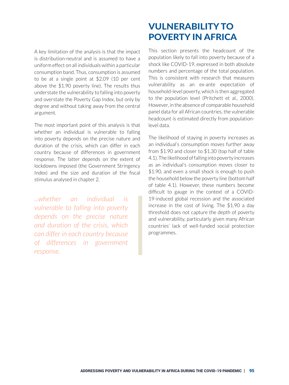A key limitation of the analysis is that the impact is distribution-neutral and is assumed to have a uniform effect on all individuals within a particular consumption band. Thus, consumption is assumed to be at a single point at \$2.09 (10 per cent above the \$1.90 poverty line). The results thus understate the vulnerability to falling into poverty and overstate the Poverty Gap Index, but only by degree and without taking away from the central argument.

The most important point of this analysis is that whether an individual is vulnerable to falling into poverty depends on the precise nature and duration of the crisis, which can differ in each country because of differences in government response. The latter depends on the extent of lockdowns imposed (the Government Stringency Index) and the size and duration of the fiscal stimulus analysed in chapter 2.

*...whether an individual is vulnerable to falling into poverty depends on the precise nature and duration of the crisis, which can differ in each country because of differences in government response.*

## VULNERABILITY TO POVERTY IN AFRICA

This section presents the headcount of the population likely to fall into poverty because of a shock like COVID-19, expressed in both absolute numbers and percentage of the total population. This is consistent with research that measures vulnerability as an ex-ante expectation of household-level poverty, which is then aggregated to the population level (Pritchett et al., 2000). However, in the absence of comparable household panel data for all African countries, the vulnerable headcount is estimated directly from populationlevel data.

The likelihood of staying in poverty increases as an individual's consumption moves further away from \$1.90 and closer to \$1.30 (top half of table 4.1). The likelihood of falling into poverty increases as an individual's consumption moves closer to \$1.90, and even a small shock is enough to push the household below the poverty line (bottom half of table 4.1). However, these numbers become difficult to gauge in the context of a COVID-19-induced global recession and the associated increase in the cost of living. The \$1.90 a day threshold does not capture the depth of poverty and vulnerability, particularly given many African countries' lack of well-funded social protection programmes.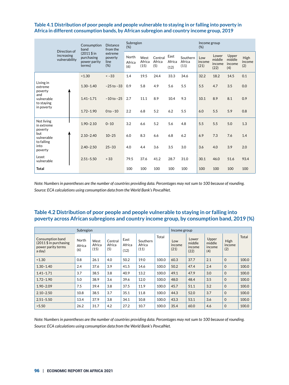#### **Table 4.1 Distribution of poor people and people vulnerable to staying in or falling into poverty in Africa in different consumption bands, by African subregion and country income group, 2019**

|                                                                                           | Direction of                | Consumption<br>band<br>$(2011 \, \text{S} \, \text{in}$<br>purchasing<br>power parity<br>terms) | <b>Distance</b><br>from the        | Subregion<br>(% )      |                        |                          |                        |                            |                       | Income group                      |                                  |                       |  |
|-------------------------------------------------------------------------------------------|-----------------------------|-------------------------------------------------------------------------------------------------|------------------------------------|------------------------|------------------------|--------------------------|------------------------|----------------------------|-----------------------|-----------------------------------|----------------------------------|-----------------------|--|
|                                                                                           | increasing<br>vulnerability |                                                                                                 | extreme<br>poverty<br>line<br>(% ) | North<br>Africa<br>(6) | West<br>Africa<br>(15) | Central<br>Africa<br>(5) | East<br>Africa<br>(12) | Southern<br>Africa<br>(11) | Low<br>income<br>(21) | Lower<br>middle<br>income<br>(22) | Upper<br>middle<br>income<br>(4) | High<br>income<br>(2) |  |
|                                                                                           |                             | < 1.30                                                                                          | $<-33$                             | 1.4                    | 19.5                   | 24.4                     | 33.3                   | 34.6                       | 32.2                  | 18.2                              | 14.5                             | 0.1                   |  |
| Living in<br>extreme<br>poverty<br>and<br>vulnerable<br>to staying<br>in poverty          |                             | $1.30 - 1.40$                                                                                   | $-25$ to $-33$                     | 0.9                    | 5.8                    | 4.9                      | 5.6                    | 5.5                        | 5.5                   | 4.7                               | 3.5                              | 0.0                   |  |
|                                                                                           |                             | $1.41 - 1.71$                                                                                   | $-10$ to $-25$                     | 2.7                    | 11.1                   | 8.9                      | 10.4                   | 9.3                        | 10.1                  | 8.9                               | 8.1                              | 0.9                   |  |
|                                                                                           |                             | $1.72 - 1.90$                                                                                   | $0$ to $-10$                       | 2.2                    | 6.8                    | 5.2                      | 6.2                    | 5.5                        | 6.0                   | 5.5                               | 5.9                              | 0.8                   |  |
| Not living<br>in extreme<br>poverty<br>but<br>vulnerable<br>to falling<br>into<br>poverty |                             | $1.90 - 2.10$                                                                                   | $0 - 10$                           | 3.2                    | 6.6                    | 5.2                      | 5.6                    | 4.8                        | 5.5                   | 5.5                               | 5.0                              | 1.3                   |  |
|                                                                                           |                             | $2.10 - 2.40$                                                                                   | $10 - 25$                          | 6.0                    | 8.3                    | 6.6                      | 6.8                    | 6.2                        | 6.9                   | 7.3                               | 7.6                              | 1.4                   |  |
|                                                                                           |                             | $2.40 - 2.50$                                                                                   | $25 - 33$                          | 4.0                    | 4.4                    | 3.6                      | 3.5                    | 3.0                        | 3.6                   | 4.0                               | 3.9                              | 2.0                   |  |
| Least<br>vulnerable                                                                       |                             | $2.51 - 5.50$                                                                                   | > 33                               | 79.5                   | 37.6                   | 41.2                     | 28.7                   | 31.0                       | 30.1                  | 46.0                              | 51.6                             | 93.4                  |  |
| <b>Total</b>                                                                              |                             |                                                                                                 |                                    | 100                    | 100                    | 100                      | 100                    | 100                        | 100                   | 100                               | 100                              | 100                   |  |

*Note: Numbers in parentheses are the number of countries providing data. Percentages may not sum to 100 because of rounding. Source: ECA calculations using consumption data from the World Bank's PovcalNet.*

#### **Table 4.2 Distribution of poor people and people vulnerable to staying in or falling into poverty across African subregions and country income group, by consumption band, 2019 (%)**

|                                                                             | Subregion              |                        | Income group             |                        |                            |       |                       |                                   |                                  |                       |       |
|-----------------------------------------------------------------------------|------------------------|------------------------|--------------------------|------------------------|----------------------------|-------|-----------------------|-----------------------------------|----------------------------------|-----------------------|-------|
| Consumption band<br>$(2011 $$ in purchasing<br>power parity terms<br>a day) | North<br>Africa<br>(6) | West<br>Africa<br>(15) | Central<br>Africa<br>(5) | East<br>Africa<br>(12) | Southern<br>Africa<br>(11) | Total | Low<br>income<br>(21) | Lower<br>middle<br>income<br>(22) | Upper<br>middle<br>income<br>(4) | High<br>income<br>(2) | Total |
| < 1.30                                                                      | 0.8                    | 26.1                   | 4.0                      | 50.2                   | 19.0                       | 100.0 | 60.3                  | 37.7                              | 2.1                              | $\mathbf 0$           | 100.0 |
| $1.30 - 1.40$                                                               | 2.4                    | 37.6                   | 3.9                      | 41.5                   | 14.6                       | 100.0 | 50.2                  | 47.4                              | 2.4                              | $\Omega$              | 100.0 |
| $1.41 - 1.71$                                                               | 3.7                    | 38.5                   | 3.8                      | 40.9                   | 13.2                       | 100.0 | 49.1                  | 47.9                              | 3.0                              | $\mathbf 0$           | 100.0 |
| $1.72 - 1.90$                                                               | 5.0                    | 38.9                   | 3.6                      | 39.6                   | 12.0                       | 100.0 | 48.0                  | 48.4                              | 3.5                              | $\Omega$              | 100.0 |
| $1.90 - 2.09$                                                               | 7.5                    | 39.4                   | 3.8                      | 37.5                   | 11.9                       | 100.0 | 45.7                  | 51.1                              | 3.2                              | $\Omega$              | 100.0 |
| $2.10 - 2.50$                                                               | 10.8                   | 38.5                   | 3.7                      | 35.1                   | 11.8                       | 100.0 | 44.3                  | 52.0                              | 3.7                              | $\Omega$              | 100.0 |
| $2.51 - 5.50$                                                               | 13.4                   | 37.9                   | 3.8                      | 34.1                   | 10.8                       | 100.0 | 43.3                  | 53.1                              | 3.6                              | $\Omega$              | 100.0 |
| >5.50                                                                       | 26.2                   | 31.7                   | 4.2                      | 27.2                   | 10.7                       | 100.0 | 35.4                  | 60.0                              | 4.6                              | $\Omega$              | 100.0 |

*Note: Numbers in parentheses are the number of countries providing data. Percentages may not sum to 100 because of rounding. Source: ECA calculations using consumption data from the World Bank's PovcalNet.*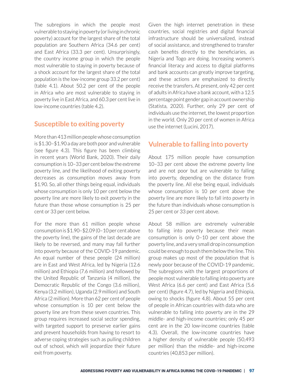The subregions in which the people most vulnerable to staying in poverty (or living in chronic poverty) account for the largest share of the total population are Southern Africa (34.6 per cent) and East Africa (33.3 per cent). Unsurprisingly, the country income group in which the people most vulnerable to staying in poverty because of a shock account for the largest share of the total population is the low-income group 33.2 per cent) (table 4.1). About 50.2 per cent of the people in Africa who are most vulnerable to staying in poverty live in East Africa, and 60.3 per cent live in low-income countries (table 4.2).

#### **Susceptible to exiting poverty**

More than 413 million people whose consumption is \$1.30–\$1.90 a day are both poor and vulnerable (see figure 4.3). This figure has been climbing in recent years (World Bank, 2020). Their daily consumption is 10–33 per cent below the extreme poverty line, and the likelihood of exiting poverty decreases as consumption moves away from \$1.90. So, all other things being equal, individuals whose consumption is only 10 per cent below the poverty line are more likely to exit poverty in the future than those whose consumption is 25 per cent or 33 per cent below.

For the more than 61 million people whose consumption is \$1.90–\$2.09 (0–10 per cent above the poverty line), the gains of the last decade are likely to be reversed, and many may fall further into poverty because of the COVID-19 pandemic. An equal number of these people (24 million) are in East and West Africa, led by Nigeria (12.6 million) and Ethiopia (7.6 million) and followed by the United Republic of Tanzania (4 million), the Democratic Republic of the Congo (3.6 million), Kenya (3.2 million), Uganda (2.9 million) and South Africa (2 million). More than 62 per cent of people whose consumption is 10 per cent below the poverty line are from these seven countries. This group requires increased social sector spending, with targeted support to preserve earlier gains and prevent households from having to resort to adverse coping strategies such as pulling children out of school, which will jeopardize their future exit from poverty.

Given the high internet penetration in these countries, social registries and digital financial infrastructure should be universalized, instead of social assistance, and strengthened to transfer cash benefits directly to the beneficiaries, as Nigeria and Togo are doing. Increasing women's financial literacy and access to digital platforms and bank accounts can greatly improve targeting, and these actions are emphasized to directly receive the transfers. At present, only 42 per cent of adults in Africa have a bank account, with a 12.5 percentage point gender gap in account ownership (Statista, 2020). Further, only 29 per cent of individuals use the internet, the lowest proportion in the world. Only 20 per cent of women in Africa use the internet (Lucini, 2017).

#### **Vulnerable to falling into poverty**

About 175 million people have consumption 10–33 per cent above the extreme poverty line and are not poor but are vulnerable to falling into poverty, depending on the distance from the poverty line. All else being equal, individuals whose consumption is 10 per cent above the poverty line are more likely to fall into poverty in the future than individuals whose consumption is 25 per cent or 33 per cent above.

About 58 million are extremely vulnerable to falling into poverty because their mean consumption is only 0–10 per cent above the poverty line, and a very small drop in consumption could be enough to push them below the line. This group makes up most of the population that is newly poor because of the COVID-19 pandemic. The subregions with the largest proportions of people most vulnerable to falling into poverty are West Africa (6.6 per cent) and East Africa (5.6 per cent) (figure 4.7), led by Nigeria and Ethiopia, owing to shocks (figure 4.8). About 55 per cent of people in African countries with data who are vulnerable to falling into poverty are in the 29 middle- and high-income countries; only 45 per cent are in the 20 low-income countries (table 4.3). Overall, the low-income countries have a higher density of vulnerable people (50,493 per million) than the middle- and high-income countries (40,853 per million).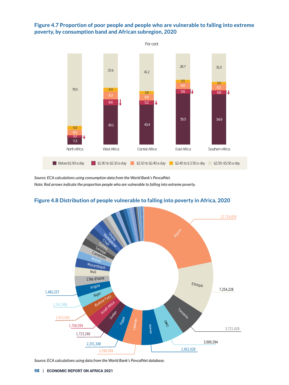#### **Figure 4.7 Proportion of poor people and people who are vulnerable to falling into extreme poverty, by consumption band and African subregion, 2020** poverty, by consumption band and African subregion, 2020



*Source: ECA calculations using consumption data from the World Bank's PovcalNet. Note: Red arrows indicate the proportion people who are vulnerable to falling into extreme poverty.*



#### **Figure 4.8 Distribution of people vulnerable to falling into poverty in Africa, 2020**

*Source: ECA calculations using data from the World Bank's PovcalNet database.*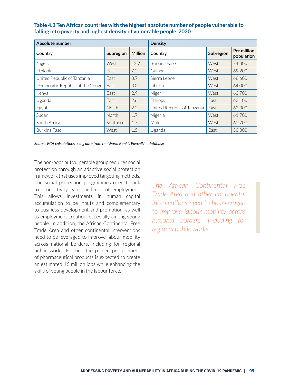| Absolute number                  |           | <b>Density</b> |                             |           |                           |  |
|----------------------------------|-----------|----------------|-----------------------------|-----------|---------------------------|--|
| Country                          | Subregion | <b>Million</b> | Country                     | Subregion | Per million<br>population |  |
| Nigeria                          | West      | 12.7           | Burkina Faso                | West      | 74,300                    |  |
| Ethiopia                         | East      | 7.2            | Guinea                      | West      | 69,200                    |  |
| United Republic of Tanzania      | East      | 3.7            | Sierra Leone                | West      | 68,600                    |  |
| Democratic Republic of the Congo | East      | 3.0            | Liberia                     | West      | 64,000                    |  |
| Kenya                            | East      | 2.9            | Niger                       | West      | 63,700                    |  |
| Uganda                           | East      | 2.6            | Ethiopia                    | East      | 63,100                    |  |
| Egypt                            | North     | 2.2            | United Republic of Tanzania | East      | 62,300                    |  |
| Sudan                            | North     | 1.7            | Nigeria                     | West      | 61,700                    |  |
| South Africa                     | Southern  | 1.7            | Mali                        | West      | 60,700                    |  |
| Burkina Faso                     | West      | 1.5            | Uganda                      | East      | 56,800                    |  |

#### **Table 4.3 Ten African countries with the highest absolute number of people vulnerable to falling into poverty and highest density of vulnerable people, 2020**

*Source: ECA calculations using data from the World Bank's PovcalNet database.*

The non-poor but vulnerable group requires social protection through an adaptive social protection framework that uses improved targeting methods. The social protection programmes need to link to productivity gains and decent employment. This allows investments in human capital accumulation to be inputs and complementary to business development and promotion, as well as employment creation, especially among young people. In addition, the African Continental Free Trade Area and other continental interventions need to be leveraged to improve labour mobility across national borders, including for regional public works. Further, the pooled procurement of pharmaceutical products is expected to create an estimated 16 million jobs while enhancing the skills of young people in the labour force.

*The African Continental Free Trade Area and other continental interventions need to be leveraged to improve labour mobility across national borders, including for regional public works.*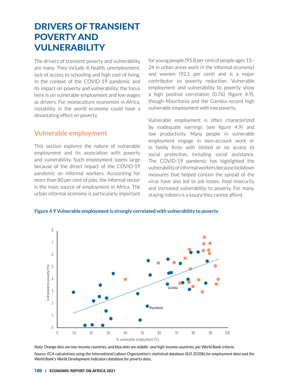## DRIVERS OF TRANSIENT POVERTY AND VULNERABILITY

The drivers of transient poverty and vulnerability are many. They include ill health, unemployment, lack of access to schooling and high cost of living. In the context of the COVID-19 pandemic and its impact on poverty and vulnerability, the focus here is on vulnerable employment and low wages as drivers. For monoculture economies in Africa, instability in the world economy could have a devastating effect on poverty.

#### **Vulnerable employment**

This section explores the nature of vulnerable employment and its association with poverty and vulnerability. Such employment looms large because of the direct impact of the COVID-19 pandemic on informal workers. Accounting for more than 80 per cent of jobs, the informal sector is the main source of employment in Africa. The urban informal economy is particularly important for young people (95.8 per cent of people ages 15– 24 in urban areas work in the informal economy) and women (92.1 per cent) and is a major contributor to poverty reduction. Vulnerable employment and vulnerability to poverty show a high positive correlation (0.76) (figure 4.9), though Mauritania and the Gambia record high vulnerable employment with low poverty.

Vulnerable employment is often characterized by inadequate earnings (see figure 4.9) and low productivity. Many people in vulnerable employment engage in own-account work or in family firms with limited or no access to social protection, including social assistance. The COVID-19 pandemic has highlighted the vulnerability of informal workers because lockdown measures that helped contain the spread of the virus have also led to job losses, food insecurity and increased vulnerability to poverty. For many, staying indoors is a luxury they cannot afford.  $\mathcal{F}_{\mathbf{y}}$  vulnerable employment is strongly correlated with vulnerability to poverty to poverty to poverty to poverty to possible employment is strongly to possible employment is  $\mathcal{F}_{\mathbf{y}}$ 

**Figure 4.9 Vulnerable employment is strongly correlated with vulnerability to poverty** 



Source: ECA calculations using the International Labour Organization's statistical database (ILO 2020b) for employment data and the<br> World Bank's World Development Indicators database for poverty data. *Note: Orange dots are low-income countries, and blue dots are middle- and high-income countries, per World Bank criteria.*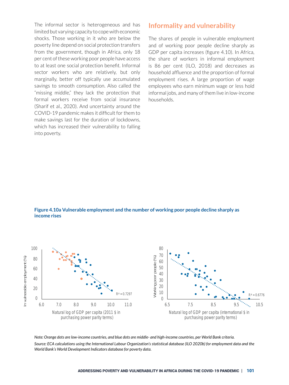The informal sector is heterogeneous and has limited but varying capacity to cope with economic shocks. Those working in it who are below the poverty line depend on social protection transfers from the government, though in Africa, only 18 per cent of these working poor people have access to at least one social protection benefit. Informal sector workers who are relatively, but only marginally, better off typically use accumulated savings to smooth consumption. Also called the "missing middle," they lack the protection that formal workers receive from social insurance (Sharif et al., 2020). And uncertainty around the COVID-19 pandemic makes it difficult for them to make savings last for the duration of lockdowns, which has increased their vulnerability to falling into poverty.

#### **Informality and vulnerability**

The shares of people in vulnerable employment and of working poor people decline sharply as GDP per capita increases (figure 4.10). In Africa, the share of workers in informal employment is 86 per cent (ILO, 2018) and decreases as household affluence and the proportion of formal employment rises. A large proportion of wage employees who earn minimum wage or less hold informal jobs, and many of them live in low-income households.

**Figure 4.10a Vulnerable employment and the number of working poor people decline sharply as income rises**



*Note: Orange dots are low-income countries, and blue dots are middle- and high-income countries, per World Bank criteria. Source: ECA calculations using the International Labour Organization's statistical database (ILO 2020b) for employment data and the World Bank's World Development Indicators database for poverty data.*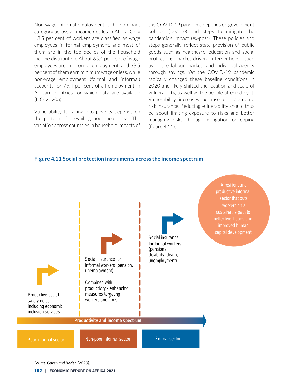Non-wage informal employment is the dominant category across all income deciles in Africa. Only 13.5 per cent of workers are classified as wage employees in formal employment, and most of them are in the top deciles of the household income distribution. About 65.4 per cent of wage employees are in informal employment, and 38.5 per cent of them earn minimum wage or less, while non-wage employment (formal and informal) accounts for 79.4 per cent of all employment in African countries for which data are available (ILO, 2020a).

Vulnerability to falling into poverty depends on the pattern of prevailing household risks. The variation across countries in household impacts of the COVID-19 pandemic depends on government policies (ex-ante) and steps to mitigate the pandemic's impact (ex-post). These policies and steps generally reflect state provision of public goods such as healthcare, education and social protection; market-driven interventions, such as in the labour market; and individual agency through savings. Yet the COVID-19 pandemic radically changed these baseline conditions in 2020 and likely shifted the location and scale of vulnerability, as well as the people affected by it. Vulnerability increases because of inadequate risk insurance. Reducing vulnerability should thus be about limiting exposure to risks and better managing risks through mitigation or coping (figure 4.11).

#### **Figure 4.11 Social protection instruments across the income spectrum**



*Source: Guven and Karlen (2020).*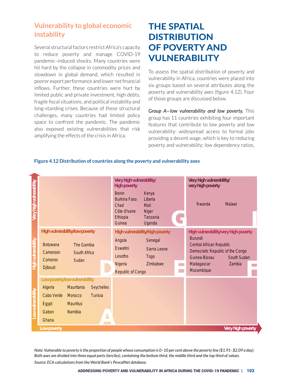#### **Vulnerability to global economic instability**

Several structural factors restrict Africa's capacity to reduce poverty and manage COVID-19 pandemic–induced shocks. Many countries were hit hard by the collapse in commodity prices and slowdown in global demand, which resulted in poorer export performance and lower net financial inflows. Further, these countries were hurt by limited public and private investment, high debts, fragile fiscal situations, and political instability and long-standing crises. Because of these structural challenges, many countries had limited policy space to confront the pandemic. The pandemic also exposed existing vulnerabilities that risk amplifying the effects of the crisis in Africa.

## THE SPATIAL **DISTRIBUTION** OF POVERTY AND VULNERABILITY

To assess the spatial distribution of poverty and vulnerability in Africa, countries were placed into six groups based on several attributes along the poverty and vulnerability axes (figure 4.12). Four of those groups are discussed below.

osed existing vulnerabilities that that will reability: widespread access to formal jobs *Group A—low vulnerability and low poverty.* This group has 11 countries exhibiting four important features that contribute to low poverty and low providing a decent wage, which is key to reducing poverty and vulnerability; low dependency ratios,



#### **Figure 4.12 Distribution of countries along the poverty and vulnerability axes**

*Note: Vulnerable to poverty is the proportion of people whose consumption is 0–10 per cent above the poverty line (\$1.91–\$2.09 a day). Both axes are divided into three equal parts (terciles), containing the bottom third, the middle third and the top third of values.*

*Source: ECA calculations from the World Bank's PovcalNet database.*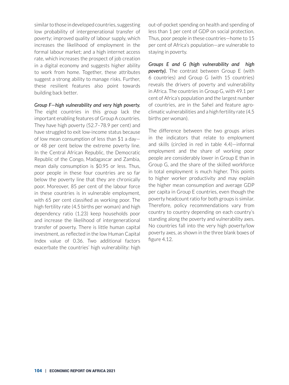similar to those in developed countries, suggesting low probability of intergenerational transfer of poverty; improved quality of labour supply, which increases the likelihood of employment in the formal labour market; and a high internet access rate, which increases the prospect of job creation in a digital economy and suggests higher ability to work from home. Together, these attributes suggest a strong ability to manage risks. Further, these resilient features also point towards building back better.

*Group F—high vulnerability and very high poverty.* The eight countries in this group lack the important enabling features of Group A countries. They have high poverty (52.7–78.9 per cent) and have struggled to exit low-income status because of low mean consumption of less than \$1 a day or 48 per cent below the extreme poverty line. In the Central African Republic, the Democratic Republic of the Congo, Madagascar and Zambia, mean daily consumption is \$0.95 or less. Thus, poor people in these four countries are so far below the poverty line that they are chronically poor. Moreover, 85 per cent of the labour force in these countries is in vulnerable employment, with 65 per cent classified as working poor. The high fertility rate (4.5 births per woman) and high dependency ratio (1.23) keep households poor and increase the likelihood of intergenerational transfer of poverty. There is little human capital investment, as reflected in the low Human Capital Index value of 0.36. Two additional factors exacerbate the countries' high vulnerability: high

out-of-pocket spending on health and spending of less than 1 per cent of GDP on social protection. Thus, poor people in these countries—home to 15 per cent of Africa's population—are vulnerable to staying in poverty.

*Groups E and G (high vulnerability and high poverty).* The contrast between Group E (with 6 countries) and Group G (with 15 countries) reveals the drivers of poverty and vulnerability in Africa. The countries in Group G, with 49.1 per cent of Africa's population and the largest number of countries, are in the Sahel and feature agroclimatic vulnerabilities and a high fertility rate (4.5 births per woman).

The difference between the two groups arises in the indicators that relate to employment and skills (circled in red in table 4.4)—informal employment and the share of working poor people are considerably lower in Group E than in Group G, and the share of the skilled workforce in total employment is much higher. This points to higher worker productivity and may explain the higher mean consumption and average GDP per capita in Group E countries, even though the poverty headcount ratio for both groups is similar. Therefore, policy recommendations vary from country to country depending on each country's standing along the poverty and vulnerability axes. No countries fall into the very high poverty/low poverty axes, as shown in the three blank boxes of figure 4.12.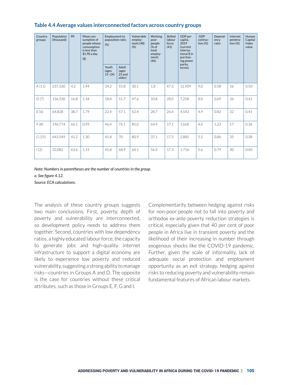| Country<br>groupa | Population<br>(thousand) | P <sub>0</sub> | Mean con-<br>sumption of<br>people whose<br>consumption<br>is less than<br>$$1.90$ a day<br>(5) | <b>Employment to</b><br>population ratio<br>(%) |                                    | Vulnerable<br>employ-<br>ment $(48)$<br>(% ) | Working<br>poor<br>people<br>(% of<br>total<br>employ-<br>ment)<br>(46) | Skilled<br>labour<br>force<br>(41) | GDP per<br>capita,<br>2019<br>(current<br>interna-<br>tional \$ in<br>purchas-<br>ing power | <b>GDP</b><br>contrac-<br>tion $(%)$ | Depend-<br>ency<br>ratio | Internet<br>penetra-<br>tion $(\%)$ | Human<br>Capital<br>Index<br>value |
|-------------------|--------------------------|----------------|-------------------------------------------------------------------------------------------------|-------------------------------------------------|------------------------------------|----------------------------------------------|-------------------------------------------------------------------------|------------------------------------|---------------------------------------------------------------------------------------------|--------------------------------------|--------------------------|-------------------------------------|------------------------------------|
|                   |                          |                |                                                                                                 | Youth<br>(ages<br>$15 - 24$                     | Adult<br>(ages<br>25 and<br>older) |                                              |                                                                         |                                    | parity<br>terms)                                                                            |                                      |                          |                                     |                                    |
| A(11)             | 237,330                  | 4.2            | 1.44                                                                                            | 24.2                                            | 55.8                               | 30.1                                         | 1.8                                                                     | 47.3                               | 12,909                                                                                      | 9.0                                  | 0.58                     | 56                                  | 0.50                               |
| D(7)              | 136,330                  | 16.8           | 1.34                                                                                            | 18.8                                            | 51.7                               | 47.6                                         | 10.8                                                                    | 28.0                               | 7,258                                                                                       | 8.0                                  | 0.69                     | 36                                  | 0.41                               |
| E(6)              | 64,828                   | 38.7           | 1.79                                                                                            | 22.4                                            | 57.1                               | 62.4                                         | 28.7                                                                    | 26.4                               | 4,543                                                                                       | 4.9                                  | 0.82                     | 32                                  | 0.41                               |
| F(8)              | 196,774                  | 66.1           | 0.99                                                                                            | 46.4                                            | 76.1                               | 85.0                                         | 64.9                                                                    | 17.1                               | 1,668                                                                                       | 4.6                                  | 1.23                     | 17                                  | 0.36                               |
| G(15)             | 643,549                  | 41.2           | 1.30                                                                                            | 41.8                                            | 70                                 | 80.9                                         | 37.1                                                                    | 17.3                               | 2,885                                                                                       | 5.5                                  | 0.86                     | 35                                  | 0.38                               |
| (2)               | 32,082                   | 63.6           | 1.15                                                                                            | 45.8                                            | 68.9                               | 64.1                                         | 56.5                                                                    | 17.3                               | 1,716                                                                                       | 5.6                                  | 0.79                     | 30                                  | 0.40                               |

#### **Table 4.4 Average values interconnected factors across country groups**

*Note: Numbers in parentheses are the number of countries in the group. a. See figure 4.12. Source: ECA calculations.*

The analysis of these country groups suggests two main conclusions. First, poverty, depth of poverty and vulnerability are interconnected, so development policy needs to address them together. Second, countries with low dependency ratios, a highly educated labour force, the capacity to generate jobs and high-quality internet infrastructure to support a digital economy are likely to experience low poverty and reduced vulnerability, suggesting a strong ability to manage risks—countries in Groups A and D. The opposite is the case for countries without these critical attributes, such as those in Groups E, F, G and I.

Complementarity between hedging against risks for non-poor people not to fall into poverty and orthodox ex-ante poverty reduction strategies is critical, especially given that 40 per cent of poor people in Africa live in transient poverty and the likelihood of their increasing in number through exogenous shocks like the COVID-19 pandemic. Further, given the scale of informality, lack of adequate social protection and employment opportunity as an exit strategy, hedging against risks to reducing poverty and vulnerability remain fundamental features of African labour markets.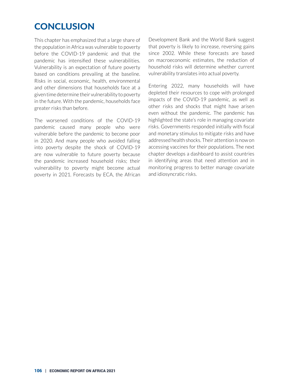## **CONCLUSION**

This chapter has emphasized that a large share of the population in Africa was vulnerable to poverty before the COVID-19 pandemic and that the pandemic has intensified these vulnerabilities. Vulnerability is an expectation of future poverty based on conditions prevailing at the baseline. Risks in social, economic, health, environmental and other dimensions that households face at a given time determine their vulnerability to poverty in the future. With the pandemic, households face greater risks than before.

The worsened conditions of the COVID-19 pandemic caused many people who were vulnerable before the pandemic to become poor in 2020. And many people who avoided falling into poverty despite the shock of COVID-19 are now vulnerable to future poverty because the pandemic increased household risks; their vulnerability to poverty might become actual poverty in 2021. Forecasts by ECA, the African Development Bank and the World Bank suggest that poverty is likely to increase, reversing gains since 2002. While these forecasts are based on macroeconomic estimates, the reduction of household risks will determine whether current vulnerability translates into actual poverty.

Entering 2022, many households will have depleted their resources to cope with prolonged impacts of the COVID-19 pandemic, as well as other risks and shocks that might have arisen even without the pandemic. The pandemic has highlighted the state's role in managing covariate risks. Governments responded initially with fiscal and monetary stimulus to mitigate risks and have addressed health shocks. Their attention is now on accessing vaccines for their populations. The next chapter develops a dashboard to assist countries in identifying areas that need attention and in monitoring progress to better manage covariate and idiosyncratic risks.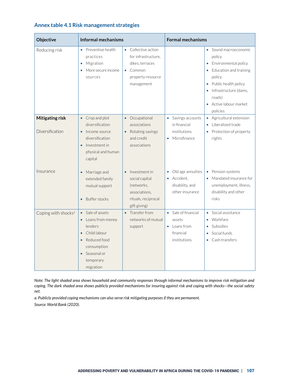| Objective                                 | <b>Informal mechanisms</b>                                                                                                                                      |                                                                                                                       | <b>Formal mechanisms</b>                                                                   |                                                                                                                                                                                            |  |  |
|-------------------------------------------|-----------------------------------------------------------------------------------------------------------------------------------------------------------------|-----------------------------------------------------------------------------------------------------------------------|--------------------------------------------------------------------------------------------|--------------------------------------------------------------------------------------------------------------------------------------------------------------------------------------------|--|--|
| Reducing risk                             | Preventive health<br>$\bullet$<br>practices<br>Migration<br>$\bullet$<br>More secure income<br>sources                                                          | Collective action<br>$\bullet$<br>for infrastructure.<br>dikes, terraces<br>Common<br>property resource<br>management |                                                                                            | Sound macroeconomic<br>policy<br>Environmental policy<br>Education and training<br>policy<br>Public health policy<br>Infrastructure (dams,<br>roads)<br>• Active labour market<br>policies |  |  |
| <b>Mitigating risk</b><br>Diversification | Crop and plot<br>$\bullet$<br>diversification<br>Income source<br>$\bullet$<br>diversification<br>Investment in<br>$\bullet$<br>physical and human<br>capital   | Occupational<br>$\bullet$<br>associations<br>Rotating savings<br>$\bullet$<br>and credit<br>associations              | Savings accounts<br>$\bullet$<br>in financial<br>institutions<br>Microfinance<br>$\bullet$ | Agricultural extension<br>٠<br>Liberalized trade<br>$\bullet$<br>Protection of property<br>٠<br>rights                                                                                     |  |  |
| Insurance                                 | Marriage and<br>$\bullet$<br>extended family<br>mutual support<br><b>Buffer stocks</b><br>$\bullet$                                                             | Investment in<br>social capital<br>(networks,<br>associations,<br>rituals, reciprocal<br>gift giving)                 | Old age annuities<br>Accident.<br>disability, and<br>other insurance                       | Pension systems<br>۰<br>Mandated insurance for<br>unemployment, illness,<br>disability and other<br>risks                                                                                  |  |  |
| Coping with shocks <sup>a</sup>           | Sale of assets<br>Loans from money<br>lenders<br>Child labour<br>Reduced food<br>$\bullet$<br>consumption<br>Seasonal or<br>$\bullet$<br>temporary<br>migration | Transfer from<br>$\bullet$<br>networks of mutual<br>support                                                           | • Sale of financial<br>assets<br>Loans from<br>۰<br>financial<br>institutions              | Social assistance<br>$\bullet$<br>Workfare<br>Subsidies<br>Social funds<br>Cash transfers                                                                                                  |  |  |

#### **Annex table 4.1 Risk management strategies**

*Note: The light shaded area shows household and community responses through informal mechanisms to improve risk mitigation and coping. The dark shaded area shows publicly provided mechanisms for insuring against risk and coping with shocks—the social safety net.* 

*a. Publicly provided coping mechanisms can also serve risk mitigating purposes if they are permanent. Source: World Bank (2020).*